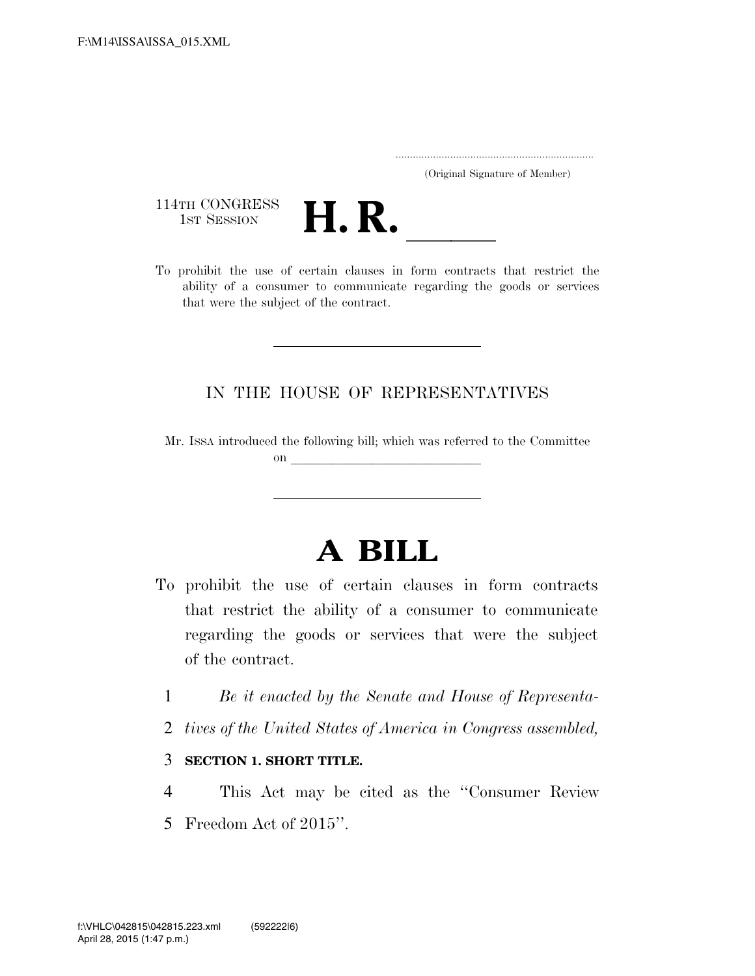..................................................................... (Original Signature of Member)

114TH CONGRESS<br>1st Session



114TH CONGRESS<br>1st SESSION<br>To prohibit the use of certain clauses in form contracts that restrict the ability of a consumer to communicate regarding the goods or services that were the subject of the contract.

## IN THE HOUSE OF REPRESENTATIVES

Mr. ISSA introduced the following bill; which was referred to the Committee on  $\overline{\qquad \qquad }$ 

## **A BILL**

- To prohibit the use of certain clauses in form contracts that restrict the ability of a consumer to communicate regarding the goods or services that were the subject of the contract.
	- 1 *Be it enacted by the Senate and House of Representa-*
	- 2 *tives of the United States of America in Congress assembled,*
	- 3 **SECTION 1. SHORT TITLE.**
- 4 This Act may be cited as the ''Consumer Review 5 Freedom Act of 2015''.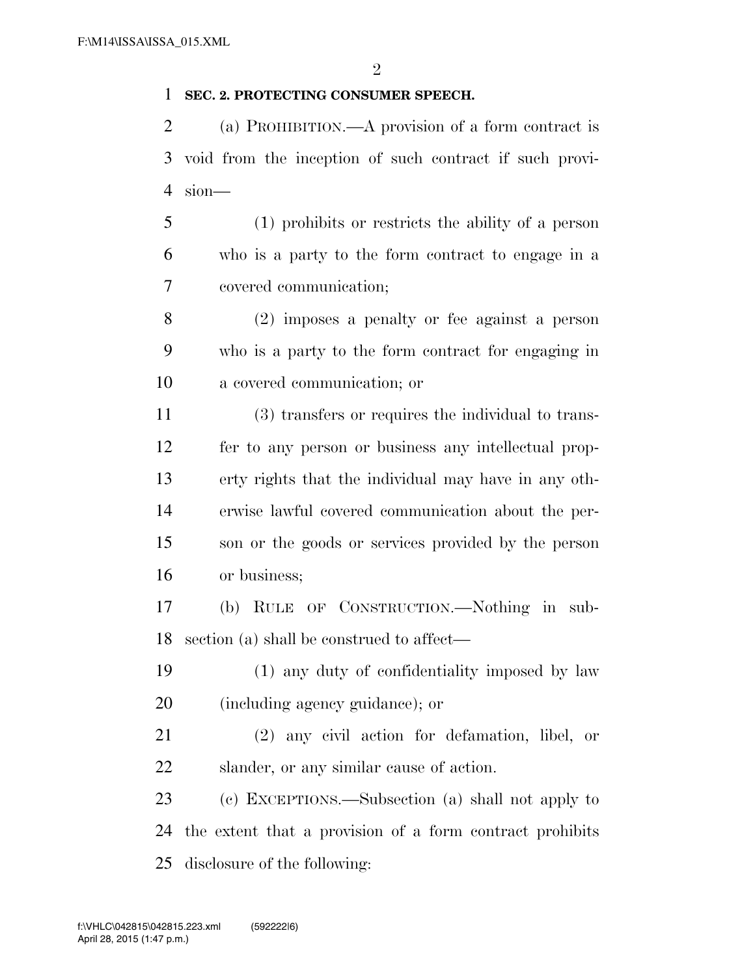## **SEC. 2. PROTECTING CONSUMER SPEECH.**

 (a) PROHIBITION.—A provision of a form contract is void from the inception of such contract if such provi-sion—

 (1) prohibits or restricts the ability of a person who is a party to the form contract to engage in a covered communication;

 (2) imposes a penalty or fee against a person who is a party to the form contract for engaging in a covered communication; or

 (3) transfers or requires the individual to trans- fer to any person or business any intellectual prop- erty rights that the individual may have in any oth- erwise lawful covered communication about the per- son or the goods or services provided by the person or business;

 (b) RULE OF CONSTRUCTION.—Nothing in sub-section (a) shall be construed to affect—

 (1) any duty of confidentiality imposed by law (including agency guidance); or

 (2) any civil action for defamation, libel, or slander, or any similar cause of action.

 (c) EXCEPTIONS.—Subsection (a) shall not apply to the extent that a provision of a form contract prohibits disclosure of the following: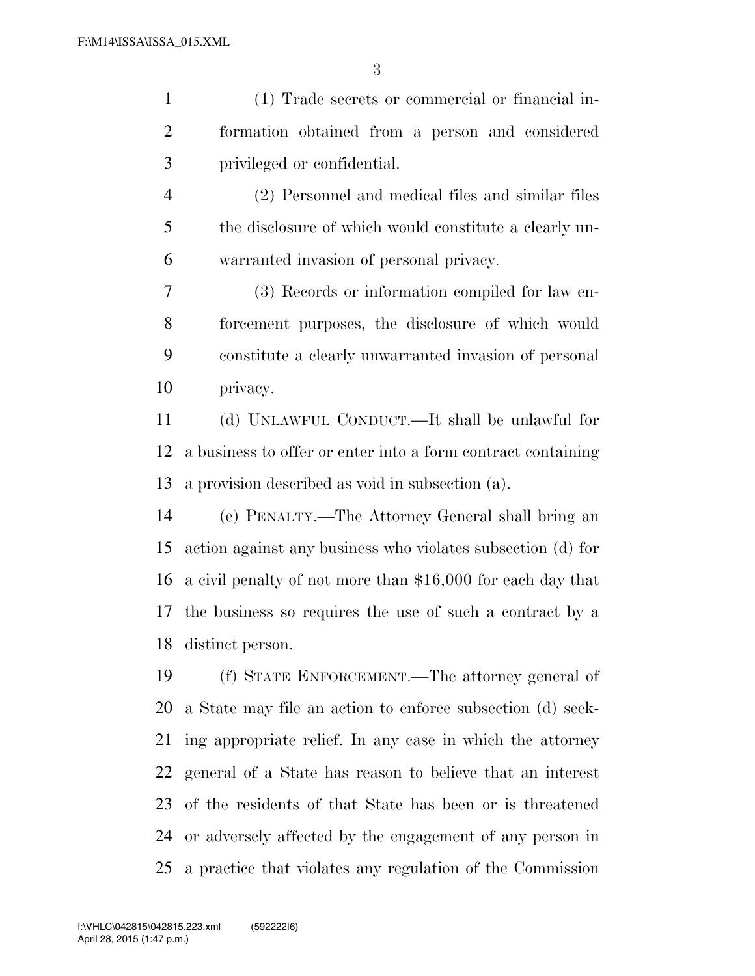(1) Trade secrets or commercial or financial in- formation obtained from a person and considered privileged or confidential. (2) Personnel and medical files and similar files the disclosure of which would constitute a clearly un- warranted invasion of personal privacy. (3) Records or information compiled for law en-

 forcement purposes, the disclosure of which would constitute a clearly unwarranted invasion of personal privacy.

 (d) UNLAWFUL CONDUCT.—It shall be unlawful for a business to offer or enter into a form contract containing a provision described as void in subsection (a).

 (e) PENALTY.—The Attorney General shall bring an action against any business who violates subsection (d) for a civil penalty of not more than \$16,000 for each day that the business so requires the use of such a contract by a distinct person.

 (f) STATE ENFORCEMENT.—The attorney general of a State may file an action to enforce subsection (d) seek- ing appropriate relief. In any case in which the attorney general of a State has reason to believe that an interest of the residents of that State has been or is threatened or adversely affected by the engagement of any person in a practice that violates any regulation of the Commission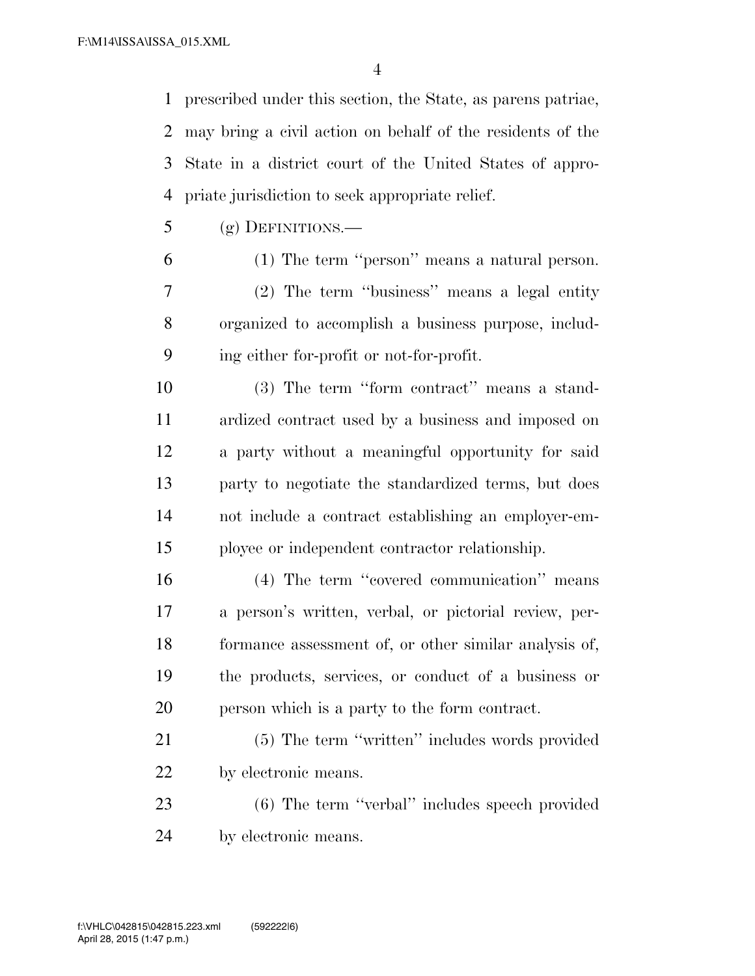prescribed under this section, the State, as parens patriae, may bring a civil action on behalf of the residents of the State in a district court of the United States of appro-priate jurisdiction to seek appropriate relief.

(g) DEFINITIONS.—

 (1) The term ''person'' means a natural person. (2) The term ''business'' means a legal entity organized to accomplish a business purpose, includ-ing either for-profit or not-for-profit.

 (3) The term ''form contract'' means a stand- ardized contract used by a business and imposed on a party without a meaningful opportunity for said party to negotiate the standardized terms, but does not include a contract establishing an employer-em-ployee or independent contractor relationship.

 (4) The term ''covered communication'' means a person's written, verbal, or pictorial review, per- formance assessment of, or other similar analysis of, the products, services, or conduct of a business or person which is a party to the form contract.

 (5) The term ''written'' includes words provided by electronic means.

 (6) The term ''verbal'' includes speech provided by electronic means.